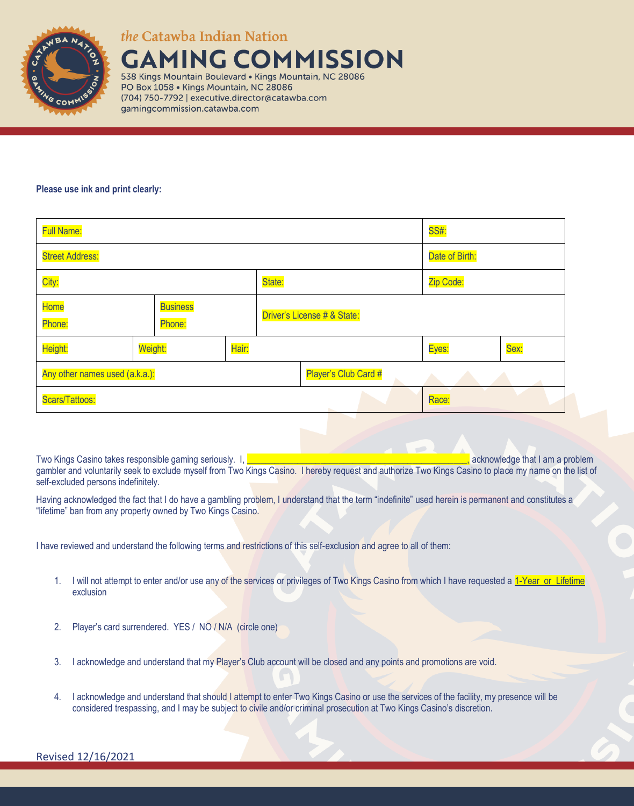

*the* Catawba Indian Nation

**AMING COMMISSION** 538 Kings Mountain Boulevard . Kings Mountain, NC 28086

PO Box 1058 · Kings Mountain, NC 28086 (704) 750-7792 | executive.director@catawba.com gamingcommission.catawba.com

## **Please use ink and print clearly:**

| <b>Full Name:</b>                           |         |  |                             |        | <b>SS#:</b>          |           |      |  |
|---------------------------------------------|---------|--|-----------------------------|--------|----------------------|-----------|------|--|
| <b>Street Address:</b>                      |         |  |                             |        | Date of Birth:       |           |      |  |
| City:                                       |         |  |                             | State: |                      | Zip Code: |      |  |
| Home<br><b>Business</b><br>Phone:<br>Phone: |         |  | Driver's License # & State: |        |                      |           |      |  |
| Height:                                     | Weight: |  | Hair:                       |        |                      | Eyes:     | Sex: |  |
| Any other names used (a.k.a.):              |         |  |                             |        | Player's Club Card # |           |      |  |
| Scars/Tattoos:                              |         |  |                             |        |                      | Race:     |      |  |

Two Kings Casino takes responsible gaming seriously. I, **which is a constant of the constant of the constant of the constant of the constant of the constant of the constant of the constant of the constant of the constant o** gambler and voluntarily seek to exclude myself from Two Kings Casino. I hereby request and authorize Two Kings Casino to place my name on the list of self-excluded persons indefinitely.

Having acknowledged the fact that I do have a gambling problem, I understand that the term "indefinite" used herein is permanent and constitutes a "lifetime" ban from any property owned by Two Kings Casino.

I have reviewed and understand the following terms and restrictions of this self-exclusion and agree to all of them:

- 1. I will not attempt to enter and/or use any of the services or privileges of Two Kings Casino from which I have requested a 1-Year or Lifetime exclusion
- 2. Player's card surrendered. YES / NO / N/A (circle one)
- 3. I acknowledge and understand that my Player's Club account will be closed and any points and promotions are void.
- 4. I acknowledge and understand that should I attempt to enter Two Kings Casino or use the services of the facility, my presence will be considered trespassing, and I may be subject to civile and/or criminal prosecution at Two Kings Casino's discretion.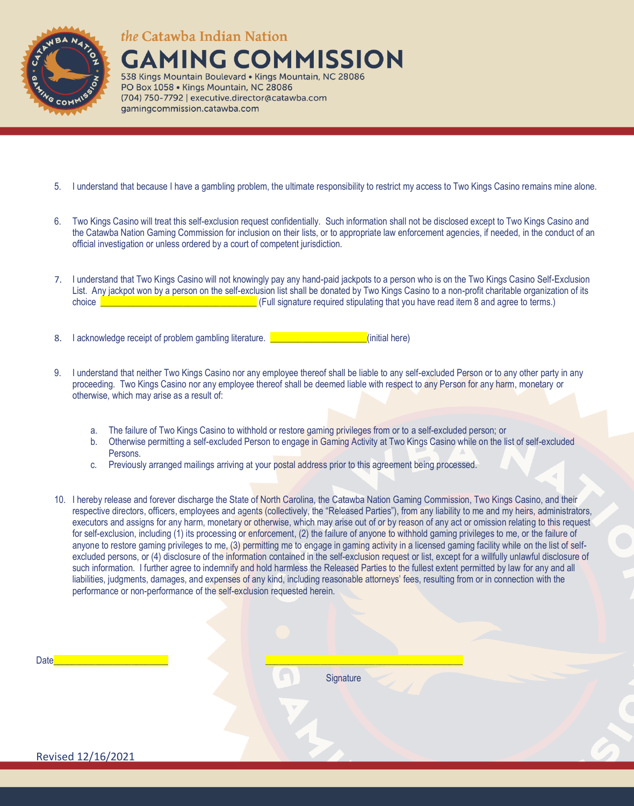

*the* Catawba Indian Nation

**GAMING COMMISSION** 538 Kings Mountain Boulevard . Kings Mountain, NC 28086

PO Box 1058 · Kings Mountain, NC 28086 (704) 750-7792 | executive.director@catawba.com gamingcommission.catawba.com

- 5. I understand that because I have a gambling problem, the ultimate responsibility to restrict my access to Two Kings Casino remains mine alone.
- 6. Two Kings Casino will treat this self-exclusion request confidentially. Such information shall not be disclosed except to Two Kings Casino and the Catawba Nation Gaming Commission for inclusion on their lists, or to appropriate law enforcement agencies, if needed, in the conduct of an official investigation or unless ordered by a court of competent jurisdiction.
- 7. I understand that Two Kings Casino will not knowingly pay any hand-paid jackpots to a person who is on the Two Kings Casino Self-Exclusion List. Any jackpot won by a person on the self-exclusion list shall be donated by Two Kings Casino to a non-profit charitable organization of its choice **Exercise 2008** Choice **Exercise 2008** Change is expected stipulating that you have read item 8 and agree to terms.)
- 8. I acknowledge receipt of problem gambling literature. **Example 20 and 1** (initial here)
- 9. I understand that neither Two Kings Casino nor any employee thereof shall be liable to any self-excluded Person or to any other party in any proceeding. Two Kings Casino nor any employee thereof shall be deemed liable with respect to any Person for any harm, monetary or otherwise, which may arise as a result of:
	- a. The failure of Two Kings Casino to withhold or restore gaming privileges from or to a self-excluded person; or
	- b. Otherwise permitting a self-excluded Person to engage in Gaming Activity at Two Kings Casino while on the list of self-excluded Persons.
	- c. Previously arranged mailings arriving at your postal address prior to this agreement being processed.
- 10. I hereby release and forever discharge the State of North Carolina, the Catawba Nation Gaming Commission, Two Kings Casino, and their respective directors, officers, employees and agents (collectively, the "Released Parties"), from any liability to me and my heirs, administrators, executors and assigns for any harm, monetary or otherwise, which may arise out of or by reason of any act or omission relating to this request for self-exclusion, including (1) its processing or enforcement, (2) the failure of anyone to withhold gaming privileges to me, or the failure of anyone to restore gaming privileges to me, (3) permitting me to engage in gaming activity in a licensed gaming facility while on the list of selfexcluded persons, or (4) disclosure of the information contained in the self-exclusion request or list, except for a willfully unlawful disclosure of such information. I further agree to indemnify and hold harmless the Released Parties to the fullest extent permitted by law for any and all liabilities, judgments, damages, and expenses of any kind, including reasonable attorneys' fees, resulting from or in connection with the performance or non-performance of the self-exclusion requested herein.

**Signature**